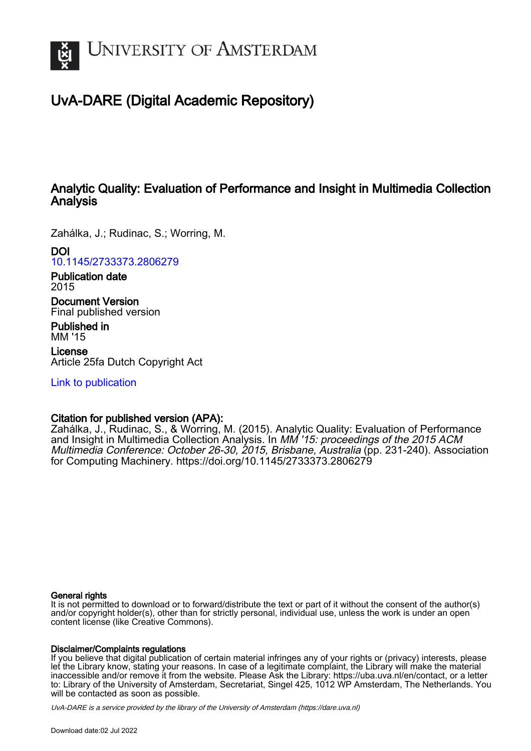

# UvA-DARE (Digital Academic Repository)

# Analytic Quality: Evaluation of Performance and Insight in Multimedia Collection **Analysis**

Zahálka, J.; Rudinac, S.; Worring, M.

DOI

[10.1145/2733373.2806279](https://doi.org/10.1145/2733373.2806279)

Publication date 2015

Document Version Final published version

Published in MM '15

License Article 25fa Dutch Copyright Act

[Link to publication](https://dare.uva.nl/personal/pure/en/publications/analytic-quality-evaluation-of-performance-and-insight-in-multimedia-collection-analysis(fa98e999-6595-4154-aeef-0d735eeaf5b6).html)

# Citation for published version (APA):

Zahálka, J., Rudinac, S., & Worring, M. (2015). Analytic Quality: Evaluation of Performance and Insight in Multimedia Collection Analysis. In MM '15: proceedings of the 2015 ACM Multimedia Conference: October 26-30, 2015, Brisbane, Australia (pp. 231-240). Association for Computing Machinery. <https://doi.org/10.1145/2733373.2806279>

# General rights

It is not permitted to download or to forward/distribute the text or part of it without the consent of the author(s) and/or copyright holder(s), other than for strictly personal, individual use, unless the work is under an open content license (like Creative Commons).

# Disclaimer/Complaints regulations

If you believe that digital publication of certain material infringes any of your rights or (privacy) interests, please let the Library know, stating your reasons. In case of a legitimate complaint, the Library will make the material inaccessible and/or remove it from the website. Please Ask the Library: https://uba.uva.nl/en/contact, or a letter to: Library of the University of Amsterdam, Secretariat, Singel 425, 1012 WP Amsterdam, The Netherlands. You will be contacted as soon as possible.

UvA-DARE is a service provided by the library of the University of Amsterdam (http*s*://dare.uva.nl)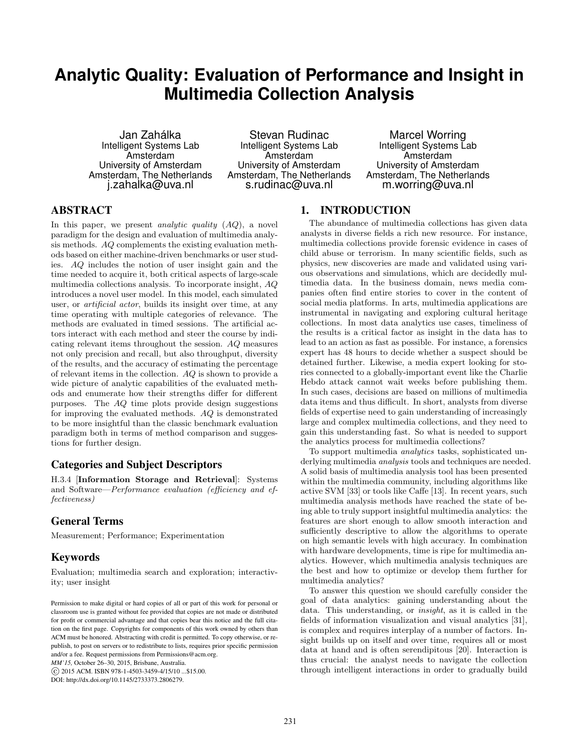# **Analytic Quality: Evaluation of Performance and Insight in Multimedia Collection Analysis**

Jan Zahálka Intelligent Systems Lab Amsterdam University of Amsterdam Amsterdam, The Netherlands j.zahalka@uva.nl

Stevan Rudinac Intelligent Systems Lab Amsterdam University of Amsterdam Amsterdam, The Netherlands s.rudinac@uva.nl

Marcel Worring Intelligent Systems Lab **Amsterdam** University of Amsterdam Amsterdam, The Netherlands m.worring@uva.nl

# ABSTRACT

In this paper, we present *analytic quality*  $(AQ)$ , a novel paradigm for the design and evaluation of multimedia analysis methods. AQ complements the existing evaluation methods based on either machine-driven benchmarks or user studies. AQ includes the notion of user insight gain and the time needed to acquire it, both critical aspects of large-scale multimedia collections analysis. To incorporate insight, AQ introduces a novel user model. In this model, each simulated user, or artificial actor, builds its insight over time, at any time operating with multiple categories of relevance. The methods are evaluated in timed sessions. The artificial actors interact with each method and steer the course by indicating relevant items throughout the session. AQ measures not only precision and recall, but also throughput, diversity of the results, and the accuracy of estimating the percentage of relevant items in the collection. AQ is shown to provide a wide picture of analytic capabilities of the evaluated methods and enumerate how their strengths differ for different purposes. The AQ time plots provide design suggestions for improving the evaluated methods. AQ is demonstrated to be more insightful than the classic benchmark evaluation paradigm both in terms of method comparison and suggestions for further design.

# Categories and Subject Descriptors

H.3.4 [Information Storage and Retrieval]: Systems and Software—Performance evaluation (efficiency and effectiveness)

# General Terms

Measurement; Performance; Experimentation

# Keywords

Evaluation; multimedia search and exploration; interactivity; user insight

*MM'15,* October 26–30, 2015, Brisbane, Australia.

c 2015 ACM. ISBN 978-1-4503-3459-4/15/10 ...\$15.00.

DOI: http://dx.doi.org/10.1145/2733373.2806279.

# 1. INTRODUCTION

The abundance of multimedia collections has given data analysts in diverse fields a rich new resource. For instance, multimedia collections provide forensic evidence in cases of child abuse or terrorism. In many scientific fields, such as physics, new discoveries are made and validated using various observations and simulations, which are decidedly multimedia data. In the business domain, news media companies often find entire stories to cover in the content of social media platforms. In arts, multimedia applications are instrumental in navigating and exploring cultural heritage collections. In most data analytics use cases, timeliness of the results is a critical factor as insight in the data has to lead to an action as fast as possible. For instance, a forensics expert has 48 hours to decide whether a suspect should be detained further. Likewise, a media expert looking for stories connected to a globally-important event like the Charlie Hebdo attack cannot wait weeks before publishing them. In such cases, decisions are based on millions of multimedia data items and thus difficult. In short, analysts from diverse fields of expertise need to gain understanding of increasingly large and complex multimedia collections, and they need to gain this understanding fast. So what is needed to support the analytics process for multimedia collections?

To support multimedia analytics tasks, sophisticated underlying multimedia *analysis* tools and techniques are needed. A solid basis of multimedia analysis tool has been presented within the multimedia community, including algorithms like active SVM [33] or tools like Caffe [13]. In recent years, such multimedia analysis methods have reached the state of being able to truly support insightful multimedia analytics: the features are short enough to allow smooth interaction and sufficiently descriptive to allow the algorithms to operate on high semantic levels with high accuracy. In combination with hardware developments, time is ripe for multimedia analytics. However, which multimedia analysis techniques are the best and how to optimize or develop them further for multimedia analytics?

To answer this question we should carefully consider the goal of data analytics: gaining understanding about the data. This understanding, or insight, as it is called in the fields of information visualization and visual analytics [31], is complex and requires interplay of a number of factors. Insight builds up on itself and over time, requires all or most data at hand and is often serendipitous [20]. Interaction is thus crucial: the analyst needs to navigate the collection through intelligent interactions in order to gradually build

Permission to make digital or hard copies of all or part of this work for personal or classroom use is granted without fee provided that copies are not made or distributed for profit or commercial advantage and that copies bear this notice and the full citation on the first page. Copyrights for components of this work owned by others than ACM must be honored. Abstracting with credit is permitted. To copy otherwise, or republish, to post on servers or to redistribute to lists, requires prior specific permission and/or a fee. Request permissions from Permissions@acm.org.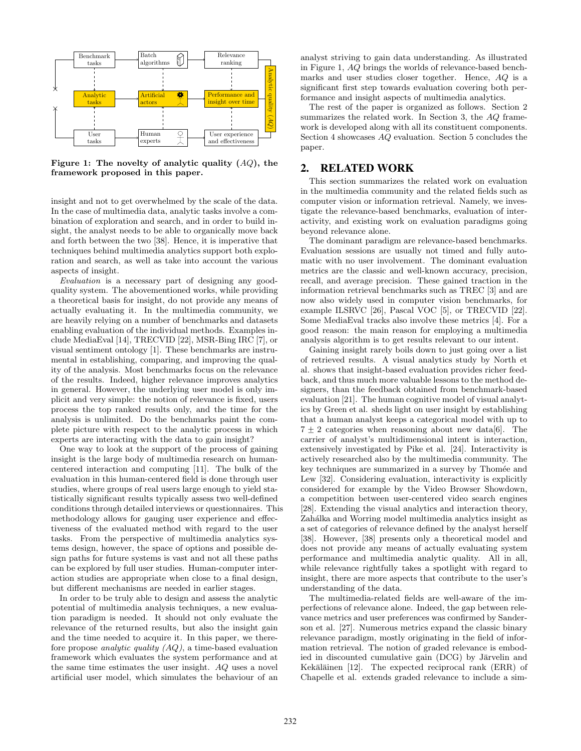

Figure 1: The novelty of analytic quality  $(AQ)$ , the framework proposed in this paper.

insight and not to get overwhelmed by the scale of the data. In the case of multimedia data, analytic tasks involve a combination of exploration and search, and in order to build insight, the analyst needs to be able to organically move back and forth between the two [38]. Hence, it is imperative that techniques behind multimedia analytics support both exploration and search, as well as take into account the various aspects of insight.

Evaluation is a necessary part of designing any goodquality system. The abovementioned works, while providing a theoretical basis for insight, do not provide any means of actually evaluating it. In the multimedia community, we are heavily relying on a number of benchmarks and datasets enabling evaluation of the individual methods. Examples include MediaEval [14], TRECVID [22], MSR-Bing IRC [7], or visual sentiment ontology [1]. These benchmarks are instrumental in establishing, comparing, and improving the quality of the analysis. Most benchmarks focus on the relevance of the results. Indeed, higher relevance improves analytics in general. However, the underlying user model is only implicit and very simple: the notion of relevance is fixed, users process the top ranked results only, and the time for the analysis is unlimited. Do the benchmarks paint the complete picture with respect to the analytic process in which experts are interacting with the data to gain insight?

One way to look at the support of the process of gaining insight is the large body of multimedia research on humancentered interaction and computing [11]. The bulk of the evaluation in this human-centered field is done through user studies, where groups of real users large enough to yield statistically significant results typically assess two well-defined conditions through detailed interviews or questionnaires. This methodology allows for gauging user experience and effectiveness of the evaluated method with regard to the user tasks. From the perspective of multimedia analytics systems design, however, the space of options and possible design paths for future systems is vast and not all these paths can be explored by full user studies. Human-computer interaction studies are appropriate when close to a final design, but different mechanisms are needed in earlier stages.

In order to be truly able to design and assess the analytic potential of multimedia analysis techniques, a new evaluation paradigm is needed. It should not only evaluate the relevance of the returned results, but also the insight gain and the time needed to acquire it. In this paper, we therefore propose *analytic quality*  $(AQ)$ , a time-based evaluation framework which evaluates the system performance and at the same time estimates the user insight. AQ uses a novel artificial user model, which simulates the behaviour of an analyst striving to gain data understanding. As illustrated in Figure 1, AQ brings the worlds of relevance-based benchmarks and user studies closer together. Hence, AQ is a significant first step towards evaluation covering both performance and insight aspects of multimedia analytics.

The rest of the paper is organized as follows. Section 2 summarizes the related work. In Section 3, the AQ framework is developed along with all its constituent components. Section 4 showcases AQ evaluation. Section 5 concludes the paper.

# 2. RELATED WORK

This section summarizes the related work on evaluation in the multimedia community and the related fields such as computer vision or information retrieval. Namely, we investigate the relevance-based benchmarks, evaluation of interactivity, and existing work on evaluation paradigms going beyond relevance alone.

The dominant paradigm are relevance-based benchmarks. Evaluation sessions are usually not timed and fully automatic with no user involvement. The dominant evaluation metrics are the classic and well-known accuracy, precision, recall, and average precision. These gained traction in the information retrieval benchmarks such as TREC [3] and are now also widely used in computer vision benchmarks, for example ILSRVC [26], Pascal VOC [5], or TRECVID [22]. Some MediaEval tracks also involve these metrics [4]. For a good reason: the main reason for employing a multimedia analysis algorithm is to get results relevant to our intent.

Gaining insight rarely boils down to just going over a list of retrieved results. A visual analytics study by North et al. shows that insight-based evaluation provides richer feedback, and thus much more valuable lessons to the method designers, than the feedback obtained from benchmark-based evaluation [21]. The human cognitive model of visual analytics by Green et al. sheds light on user insight by establishing that a human analyst keeps a categorical model with up to  $7 \pm 2$  categories when reasoning about new data [6]. The carrier of analyst's multidimensional intent is interaction, extensively investigated by Pike et al. [24]. Interactivity is actively researched also by the multimedia community. The key techniques are summarized in a survey by Thomée and Lew [32]. Considering evaluation, interactivity is explicitly considered for example by the Video Browser Showdown, a competition between user-centered video search engines [28]. Extending the visual analytics and interaction theory, Zahálka and Worring model multimedia analytics insight as a set of categories of relevance defined by the analyst herself [38]. However, [38] presents only a theoretical model and does not provide any means of actually evaluating system performance and multimedia analytic quality. All in all, while relevance rightfully takes a spotlight with regard to insight, there are more aspects that contribute to the user's understanding of the data.

The multimedia-related fields are well-aware of the imperfections of relevance alone. Indeed, the gap between relevance metrics and user preferences was confirmed by Sanderson et al. [27]. Numerous metrics expand the classic binary relevance paradigm, mostly originating in the field of information retrieval. The notion of graded relevance is embodied in discounted cumulative gain (DCG) by Järvelin and Kekäläinen  $[12]$ . The expected reciprocal rank  $(ERR)$  of Chapelle et al. extends graded relevance to include a sim-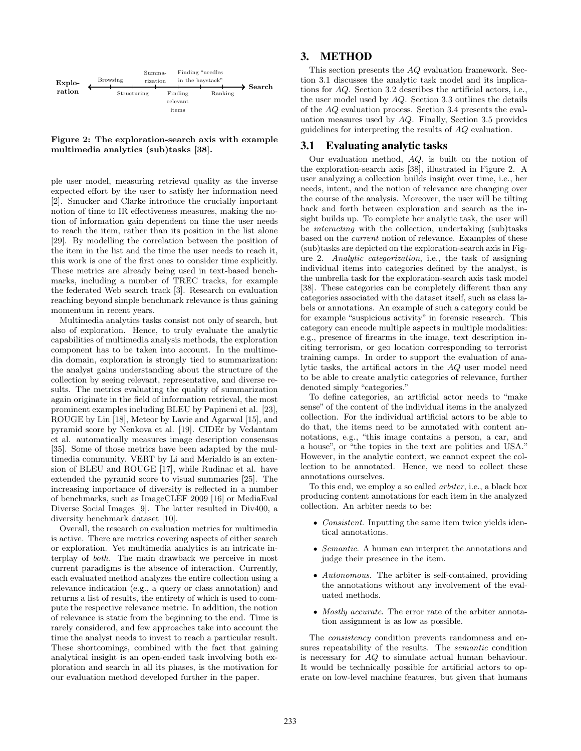

Figure 2: The exploration-search axis with example multimedia analytics (sub)tasks [38].

ple user model, measuring retrieval quality as the inverse expected effort by the user to satisfy her information need [2]. Smucker and Clarke introduce the crucially important notion of time to IR effectiveness measures, making the notion of information gain dependent on time the user needs to reach the item, rather than its position in the list alone [29]. By modelling the correlation between the position of the item in the list and the time the user needs to reach it, this work is one of the first ones to consider time explicitly. These metrics are already being used in text-based benchmarks, including a number of TREC tracks, for example the federated Web search track [3]. Research on evaluation reaching beyond simple benchmark relevance is thus gaining momentum in recent years.

Multimedia analytics tasks consist not only of search, but also of exploration. Hence, to truly evaluate the analytic capabilities of multimedia analysis methods, the exploration component has to be taken into account. In the multimedia domain, exploration is strongly tied to summarization: the analyst gains understanding about the structure of the collection by seeing relevant, representative, and diverse results. The metrics evaluating the quality of summarization again originate in the field of information retrieval, the most prominent examples including BLEU by Papineni et al. [23], ROUGE by Lin [18], Meteor by Lavie and Agarwal [15], and pyramid score by Nenkova et al. [19]. CIDEr by Vedantam et al. automatically measures image description consensus [35]. Some of those metrics have been adapted by the multimedia community. VERT by Li and Merialdo is an extension of BLEU and ROUGE [17], while Rudinac et al. have extended the pyramid score to visual summaries [25]. The increasing importance of diversity is reflected in a number of benchmarks, such as ImageCLEF 2009 [16] or MediaEval Diverse Social Images [9]. The latter resulted in Div400, a diversity benchmark dataset [10].

Overall, the research on evaluation metrics for multimedia is active. There are metrics covering aspects of either search or exploration. Yet multimedia analytics is an intricate interplay of both. The main drawback we perceive in most current paradigms is the absence of interaction. Currently, each evaluated method analyzes the entire collection using a relevance indication (e.g., a query or class annotation) and returns a list of results, the entirety of which is used to compute the respective relevance metric. In addition, the notion of relevance is static from the beginning to the end. Time is rarely considered, and few approaches take into account the time the analyst needs to invest to reach a particular result. These shortcomings, combined with the fact that gaining analytical insight is an open-ended task involving both exploration and search in all its phases, is the motivation for our evaluation method developed further in the paper.

#### 3. METHOD

This section presents the AQ evaluation framework. Section 3.1 discusses the analytic task model and its implications for AQ. Section 3.2 describes the artificial actors, i.e., the user model used by  $AQ$ . Section 3.3 outlines the details of the AQ evaluation process. Section 3.4 presents the evaluation measures used by AQ. Finally, Section 3.5 provides guidelines for interpreting the results of AQ evaluation.

# 3.1 Evaluating analytic tasks

Our evaluation method, AQ, is built on the notion of the exploration-search axis [38], illustrated in Figure 2. A user analyzing a collection builds insight over time, i.e., her needs, intent, and the notion of relevance are changing over the course of the analysis. Moreover, the user will be tilting back and forth between exploration and search as the insight builds up. To complete her analytic task, the user will be interacting with the collection, undertaking (sub)tasks based on the current notion of relevance. Examples of these (sub)tasks are depicted on the exploration-search axis in Figure 2. Analytic categorization, i.e., the task of assigning individual items into categories defined by the analyst, is the umbrella task for the exploration-search axis task model [38]. These categories can be completely different than any categories associated with the dataset itself, such as class labels or annotations. An example of such a category could be for example "suspicious activity" in forensic research. This category can encode multiple aspects in multiple modalities: e.g., presence of firearms in the image, text description inciting terrorism, or geo location corresponding to terrorist training camps. In order to support the evaluation of analytic tasks, the artifical actors in the AQ user model need to be able to create analytic categories of relevance, further denoted simply "categories."

To define categories, an artificial actor needs to "make sense" of the content of the individual items in the analyzed collection. For the individual artificial actors to be able to do that, the items need to be annotated with content annotations, e.g., "this image contains a person, a car, and a house", or "the topics in the text are politics and USA." However, in the analytic context, we cannot expect the collection to be annotated. Hence, we need to collect these annotations ourselves.

To this end, we employ a so called arbiter, i.e., a black box producing content annotations for each item in the analyzed collection. An arbiter needs to be:

- Consistent. Inputting the same item twice yields identical annotations.
- ' Semantic. A human can interpret the annotations and judge their presence in the item.
- Autonomous. The arbiter is self-contained, providing the annotations without any involvement of the evaluated methods.
- *Mostly accurate*. The error rate of the arbiter annotation assignment is as low as possible.

The *consistency* condition prevents randomness and ensures repeatability of the results. The semantic condition is necessary for AQ to simulate actual human behaviour. It would be technically possible for artificial actors to operate on low-level machine features, but given that humans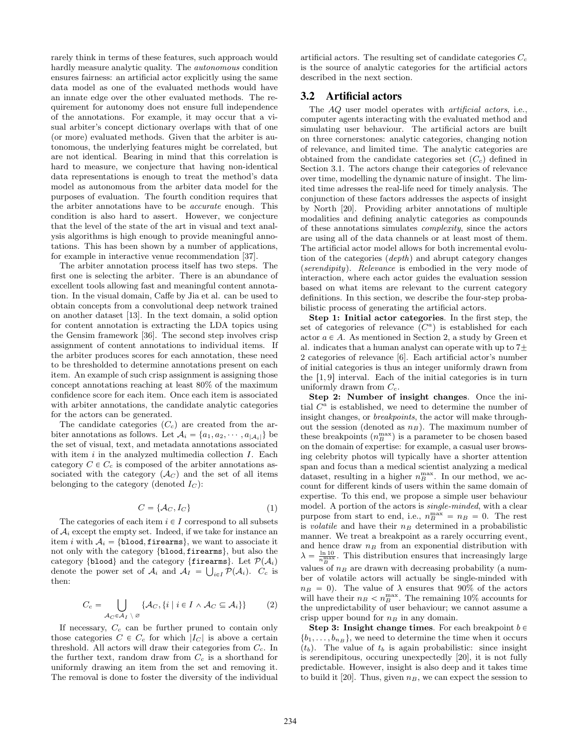rarely think in terms of these features, such approach would hardly measure analytic quality. The autonomous condition ensures fairness: an artificial actor explicitly using the same data model as one of the evaluated methods would have an innate edge over the other evaluated methods. The requirement for autonomy does not ensure full independence of the annotations. For example, it may occur that a visual arbiter's concept dictionary overlaps with that of one (or more) evaluated methods. Given that the arbiter is autonomous, the underlying features might be correlated, but are not identical. Bearing in mind that this correlation is hard to measure, we conjecture that having non-identical data representations is enough to treat the method's data model as autonomous from the arbiter data model for the purposes of evaluation. The fourth condition requires that the arbiter annotations have to be accurate enough. This condition is also hard to assert. However, we conjecture that the level of the state of the art in visual and text analysis algorithms is high enough to provide meaningful annotations. This has been shown by a number of applications, for example in interactive venue recommendation [37].

The arbiter annotation process itself has two steps. The first one is selecting the arbiter. There is an abundance of excellent tools allowing fast and meaningful content annotation. In the visual domain, Caffe by Jia et al. can be used to obtain concepts from a convolutional deep network trained on another dataset [13]. In the text domain, a solid option for content annotation is extracting the LDA topics using the Gensim framework [36]. The second step involves crisp assignment of content annotations to individual items. If the arbiter produces scores for each annotation, these need to be thresholded to determine annotations present on each item. An example of such crisp assignment is assigning those concept annotations reaching at least 80% of the maximum confidence score for each item. Once each item is associated with arbiter annotations, the candidate analytic categories for the actors can be generated.

The candidate categories  $(C_c)$  are created from the arbiter annotations as follows. Let  $\mathcal{A}_i = \{a_1, a_2, \cdots, a_{|\mathcal{A}_i|}\}\$  be the set of visual, text, and metadata annotations associated with item  $i$  in the analyzed multimedia collection  $I$ . Each category  $C \in C_c$  is composed of the arbiter annotations associated with the category  $(\mathcal{A}_{C})$  and the set of all items belonging to the category (denoted  $I_C$ ):

$$
C = \{A_C, I_C\} \tag{1}
$$

The categories of each item  $i \in I$  correspond to all subsets of  $A_i$  except the empty set. Indeed, if we take for instance an item *i* with  $A_i = \{\text{blood}, \text{firearms}\},$  we want to associate it not only with the category {blood, firearms}, but also the category {blood} and the category {firearms}. Let  $\mathcal{P}(\mathcal{A}_i)$ denote the power set of  $A_i$  and  $A_I = \bigcup_{i \in I} \mathcal{P}(A_i)$ .  $C_c$  is then:

$$
C_c = \bigcup_{\mathcal{A}_C \in \mathcal{A}_I \setminus \varnothing} \{ \mathcal{A}_C, \{i \mid i \in I \land \mathcal{A}_C \subseteq \mathcal{A}_i \} \} \tag{2}
$$

If necessary,  $C_c$  can be further pruned to contain only those categories  $C \in C_c$  for which  $|I_C|$  is above a certain threshold. All actors will draw their categories from  $C_c$ . In the further text, random draw from  $C_c$  is a shorthand for uniformly drawing an item from the set and removing it. The removal is done to foster the diversity of the individual artificial actors. The resulting set of candidate categories  $C_c$ is the source of analytic categories for the artificial actors described in the next section.

#### 3.2 Artificial actors

The AQ user model operates with *artificial actors*, i.e., computer agents interacting with the evaluated method and simulating user behaviour. The artificial actors are built on three cornerstones: analytic categories, changing notion of relevance, and limited time. The analytic categories are obtained from the candidate categories set  $(C_c)$  defined in Section 3.1. The actors change their categories of relevance over time, modelling the dynamic nature of insight. The limited time adresses the real-life need for timely analysis. The conjunction of these factors addresses the aspects of insight by North [20]. Providing arbiter annotations of multiple modalities and defining analytic categories as compounds of these annotations simulates complexity, since the actors are using all of the data channels or at least most of them. The artificial actor model allows for both incremental evolution of the categories (depth) and abrupt category changes (serendipity). Relevance is embodied in the very mode of interaction, where each actor guides the evaluation session based on what items are relevant to the current category definitions. In this section, we describe the four-step probabilistic process of generating the artificial actors.

Step 1: Initial actor categories. In the first step, the set of categories of relevance  $(C^a)$  is established for each actor  $a \in A$ . As mentioned in Section 2, a study by Green et al. indicates that a human analyst can operate with up to  $7\pm$ 2 categories of relevance [6]. Each artificial actor's number of initial categories is thus an integer uniformly drawn from the  $\lceil 1, 9 \rceil$  interval. Each of the initial categories is in turn uniformly drawn from  $C_c$ .

Step 2: Number of insight changes. Once the initial  $C<sup>a</sup>$  is established, we need to determine the number of insight changes, or breakpoints, the actor will make throughout the session (denoted as  $n_B$ ). The maximum number of these breakpoints  $(n_B^{\max})$  is a parameter to be chosen based on the domain of expertise: for example, a casual user browsing celebrity photos will typically have a shorter attention span and focus than a medical scientist analyzing a medical dataset, resulting in a higher  $n_B^{\text{max}}$ . In our method, we account for different kinds of users within the same domain of expertise. To this end, we propose a simple user behaviour model. A portion of the actors is single-minded, with a clear purpose from start to end, i.e.,  $n_B^{\text{max}} = n_B = 0$ . The rest is *volatile* and have their  $n_B$  determined in a probabilistic manner. We treat a breakpoint as a rarely occurring event, and hence draw  $n_B$  from an exponential distribution with  $\lambda = \frac{\ln 10}{n_B^{\text{max}}}$ . This distribution ensures that increasingly large values of  $n_B$  are drawn with decreasing probability (a number of volatile actors will actually be single-minded with  $n_B = 0$ ). The value of  $\lambda$  ensures that 90% of the actors will have their  $n_B < n_B^{\text{max}}$ . The remaining 10% accounts for the unpredictability of user behaviour; we cannot assume a crisp upper bound for  $n_B$  in any domain.

Step 3: Insight change times. For each breakpoint  $b \in$  $\{b_1, \ldots, b_{n_B}\}\text{, we need to determine the time when it occurs.}$  $(t<sub>b</sub>)$ . The value of  $t<sub>b</sub>$  is again probabilistic: since insight is serendipitous, occuring unexpectedly [20], it is not fully predictable. However, insight is also deep and it takes time to build it [20]. Thus, given  $n_B$ , we can expect the session to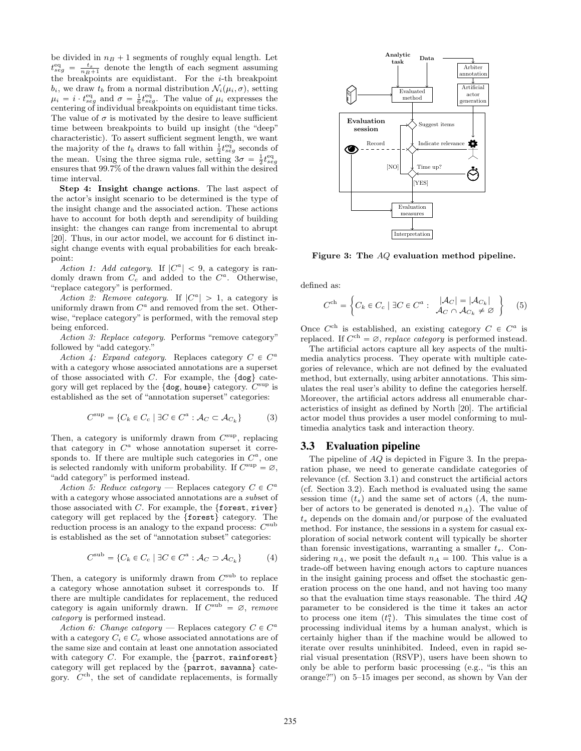be divided in  $n_B + 1$  segments of roughly equal length. Let  $t_{seg}^{eq} = \frac{t_s}{n_B+1}$  denote the length of each segment assuming the breakpoints are equidistant. For the  $i$ -th breakpoint  $b_i$ , we draw  $t_b$  from a normal distribution  $\mathcal{N}_i(\mu_i, \sigma)$ , setting  $\mu_i = i \cdot t_{seg}^{\text{eq}}$  and  $\sigma = \frac{1}{6} t_{seg}^{\text{eq}}$ . The value of  $\mu_i$  expresses the centering of individual breakpoints on equidistant time ticks. The value of  $\sigma$  is motivated by the desire to leave sufficient time between breakpoints to build up insight (the "deep" characteristic). To assert sufficient segment length, we want the majority of the  $t_b$  draws to fall within  $\frac{1}{2} t_{seg}^{eq}$  seconds of the mean. Using the three sigma rule, setting  $3\sigma = \frac{1}{2} t_{seg}^{eq}$ ensures that 99.7% of the drawn values fall within the desired time interval.

Step 4: Insight change actions. The last aspect of the actor's insight scenario to be determined is the type of the insight change and the associated action. These actions have to account for both depth and serendipity of building insight: the changes can range from incremental to abrupt [20]. Thus, in our actor model, we account for 6 distinct insight change events with equal probabilities for each breakpoint:

Action 1: Add category. If  $|C^a| < 9$ , a category is randomly drawn from  $C_c$  and added to the  $C^a$ . Otherwise, "replace category" is performed.

Action 2: Remove category. If  $|C^a| > 1$ , a category is uniformly drawn from  $C^a$  and removed from the set. Otherwise, "replace category" is performed, with the removal step being enforced.

Action 3: Replace category. Performs "remove category" followed by "add category."

Action 4: Expand category. Replaces category  $C \in C^a$ with a category whose associated annotations are a superset of those associated with C. For example, the  $\{dog\}$  category will get replaced by the  $\{dog, house\}$  category.  $C^{sup}$  is established as the set of "annotation superset" categories:

$$
C^{\text{sup}} = \{ C_k \in C_c \mid \exists C \in C^a : \mathcal{A}_C \subset \mathcal{A}_{C_k} \} \tag{3}
$$

Then, a category is uniformly drawn from  $C^{\text{sup}}$ , replacing that category in  $C^a$  whose annotation superset it corresponds to. If there are multiple such categories in  $C^a$ , one is selected randomly with uniform probability. If  $C^{\text{sup}} = \varnothing$ , "add category" is performed instead.

Action 5: Reduce category — Replaces category  $C \in C^a$ with a category whose associated annotations are a *subset* of those associated with C. For example, the  ${forest, river}$ category will get replaced by the {forest} category. The reduction process is an analogy to the expand process:  $C^{\text{sub}}$ is established as the set of "annotation subset" categories:

$$
C^{\text{sub}} = \{ C_k \in C_c \mid \exists C \in C^a : \mathcal{A}_C \supset \mathcal{A}_{C_k} \} \tag{4}
$$

Then, a category is uniformly drawn from  $C^{\text{sub}}$  to replace a category whose annotation subset it corresponds to. If there are multiple candidates for replacement, the reduced category is again uniformly drawn. If  $C^{\text{sub}} = \emptyset$ , remove category is performed instead.

Action 6: Change category — Replaces category  $C \in C^a$ with a category  $C_i \in C_c$  whose associated annotations are of the same size and contain at least one annotation associated with category  $C$ . For example, the {parrot, rainforest} category will get replaced by the {parrot, savanna} category.  $C<sup>ch</sup>$ , the set of candidate replacements, is formally



Figure 3: The AQ evaluation method pipeline.

defined as:

$$
C^{\text{ch}} = \left\{ C_k \in C_c \mid \exists C \in C^a : \begin{array}{c} |A_C| = |A_{C_k}| \\ A_C \cap A_{C_k} \neq \varnothing \end{array} \right\} \tag{5}
$$

Once  $C^{ch}$  is established, an existing category  $C \in C^{a}$  is replaced. If  $C^{ch} = \emptyset$ , replace category is performed instead.

The artificial actors capture all key aspects of the multimedia analytics process. They operate with multiple categories of relevance, which are not defined by the evaluated method, but externally, using arbiter annotations. This simulates the real user's ability to define the categories herself. Moreover, the artificial actors address all enumerable characteristics of insight as defined by North [20]. The artificial actor model thus provides a user model conforming to multimedia analytics task and interaction theory.

# 3.3 Evaluation pipeline

The pipeline of AQ is depicted in Figure 3. In the preparation phase, we need to generate candidate categories of relevance (cf. Section 3.1) and construct the artificial actors (cf. Section 3.2). Each method is evaluated using the same session time  $(t<sub>s</sub>)$  and the same set of actors  $(A,$  the number of actors to be generated is denoted  $n_A$ ). The value of  $t<sub>s</sub>$  depends on the domain and/or purpose of the evaluated method. For instance, the sessions in a system for casual exploration of social network content will typically be shorter than forensic investigations, warranting a smaller  $t_s$ . Considering  $n_A$ , we posit the default  $n_A = 100$ . This value is a trade-off between having enough actors to capture nuances in the insight gaining process and offset the stochastic generation process on the one hand, and not having too many so that the evaluation time stays reasonable. The third AQ parameter to be considered is the time it takes an actor to process one item  $(t_1^a)$ . This simulates the time cost of processing individual items by a human analyst, which is certainly higher than if the machine would be allowed to iterate over results uninhibited. Indeed, even in rapid serial visual presentation (RSVP), users have been shown to only be able to perform basic processing (e.g., "is this an orange?") on 5–15 images per second, as shown by Van der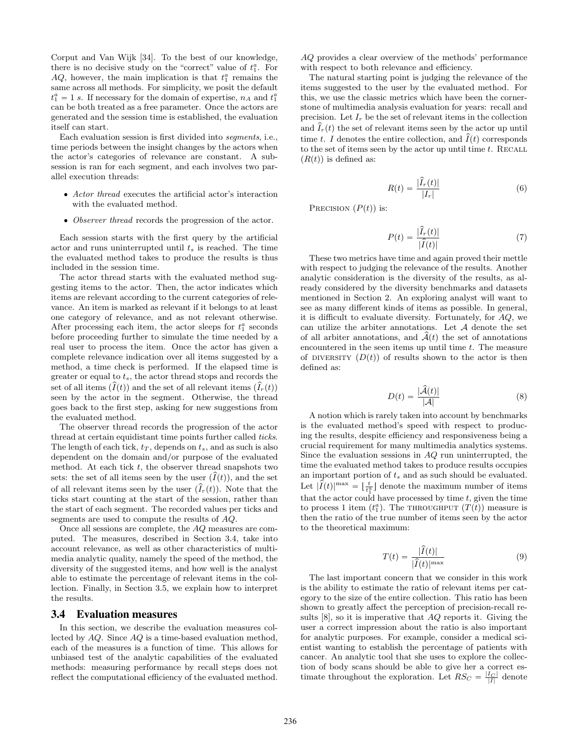Corput and Van Wijk [34]. To the best of our knowledge, there is no decisive study on the "correct" value of  $t_1^a$ . For  $AQ$ , however, the main implication is that  $t_1^a$  remains the same across all methods. For simplicity, we posit the default  $t_1^a = 1$  s. If necessary for the domain of expertise,  $n_A$  and  $t_1^a$ can be both treated as a free parameter. Once the actors are generated and the session time is established, the evaluation itself can start.

Each evaluation session is first divided into segments, i.e., time periods between the insight changes by the actors when the actor's categories of relevance are constant. A subsession is ran for each segment, and each involves two parallel execution threads:

- ' Actor thread executes the artificial actor's interaction with the evaluated method.
- ' Observer thread records the progression of the actor.

Each session starts with the first query by the artificial actor and runs uninterrupted until  $t_s$  is reached. The time the evaluated method takes to produce the results is thus included in the session time.

The actor thread starts with the evaluated method suggesting items to the actor. Then, the actor indicates which items are relevant according to the current categories of relevance. An item is marked as relevant if it belongs to at least one category of relevance, and as not relevant otherwise. After processing each item, the actor sleeps for  $t_1^a$  seconds before proceeding further to simulate the time needed by a real user to process the item. Once the actor has given a complete relevance indication over all items suggested by a method, a time check is performed. If the elapsed time is greater or equal to  $t_s$ , the actor thread stops and records the set of all items  $(I(t))$  and the set of all relevant items  $(I_r(t))$ seen by the actor in the segment. Otherwise, the thread goes back to the first step, asking for new suggestions from the evaluated method.

The observer thread records the progression of the actor thread at certain equidistant time points further called ticks. The length of each tick,  $t_T$ , depends on  $t_s$ , and as such is also dependent on the domain and/or purpose of the evaluated method. At each tick  $t$ , the observer thread snapshots two sets: the set of all items seen by the user  $(I(t))$ , and the set of all relevant items seen by the user  $(\tilde{I}_r(t))$ . Note that the ticks start counting at the start of the session, rather than the start of each segment. The recorded values per ticks and segments are used to compute the results of AQ.

Once all sessions are complete, the AQ measures are computed. The measures, described in Section 3.4, take into account relevance, as well as other characteristics of multimedia analytic quality, namely the speed of the method, the diversity of the suggested items, and how well is the analyst able to estimate the percentage of relevant items in the collection. Finally, in Section 3.5, we explain how to interpret the results.

#### 3.4 Evaluation measures

In this section, we describe the evaluation measures collected by AQ. Since AQ is a time-based evaluation method, each of the measures is a function of time. This allows for unbiased test of the analytic capabilities of the evaluated methods: measuring performance by recall steps does not reflect the computational efficiency of the evaluated method.

AQ provides a clear overview of the methods' performance with respect to both relevance and efficiency.

The natural starting point is judging the relevance of the items suggested to the user by the evaluated method. For this, we use the classic metrics which have been the cornerstone of multimedia analysis evaluation for years: recall and precision. Let  $I_r$  be the set of relevant items in the collection and  $\hat{I}_r(t)$  the set of relevant items seen by the actor up until time t. I denotes the entire collection, and  $\hat{I}(t)$  corresponds to the set of items seen by the actor up until time  $t$ . RECALL  $(R(t))$  is defined as:

$$
R(t) = \frac{|\hat{I}_r(t)|}{|I_r|} \tag{6}
$$

PRECISION  $(P(t))$  is:

$$
P(t) = \frac{|\hat{I}_r(t)|}{|\hat{I}(t)|} \tag{7}
$$

These two metrics have time and again proved their mettle with respect to judging the relevance of the results. Another analytic consideration is the diversity of the results, as already considered by the diversity benchmarks and datasets mentioned in Section 2. An exploring analyst will want to see as many different kinds of items as possible. In general, it is difficult to evaluate diversity. Fortunately, for  $AQ$ , we can utilize the arbiter annotations. Let  $A$  denote the set of all arbiter annotations, and  $\mathcal{A}(t)$  the set of annotations encountered in the seen items up until time  $t$ . The measure of DIVERSITY  $(D(t))$  of results shown to the actor is then defined as:

$$
D(t) = \frac{|\hat{\mathcal{A}}(t)|}{|\mathcal{A}|} \tag{8}
$$

A notion which is rarely taken into account by benchmarks is the evaluated method's speed with respect to producing the results, despite efficiency and responsiveness being a crucial requirement for many multimedia analytics systems. Since the evaluation sessions in AQ run uninterrupted, the time the evaluated method takes to produce results occupies an important portion of  $t_s$  and as such should be evaluated.<br>Let  $|\hat{I}(t)|^{\max} = \lfloor \frac{t}{t_1^a} \rfloor$  denote the maximum number of items that the actor could have processed by time  $t$ , given the time to process 1 item  $(t_1^a)$ . The THROUGHPUT  $(T(t))$  measure is then the ratio of the true number of items seen by the actor to the theoretical maximum:

$$
T(t) = \frac{|\hat{I}(t)|}{|\hat{I}(t)|^{\max}} \tag{9}
$$

The last important concern that we consider in this work is the ability to estimate the ratio of relevant items per category to the size of the entire collection. This ratio has been shown to greatly affect the perception of precision-recall results  $[8]$ , so it is imperative that  $AQ$  reports it. Giving the user a correct impression about the ratio is also important for analytic purposes. For example, consider a medical scientist wanting to establish the percentage of patients with cancer. An analytic tool that she uses to explore the collection of body scans should be able to give her a correct estimate throughout the exploration. Let  $RS_C = \frac{|I_C|}{|I|}$  denote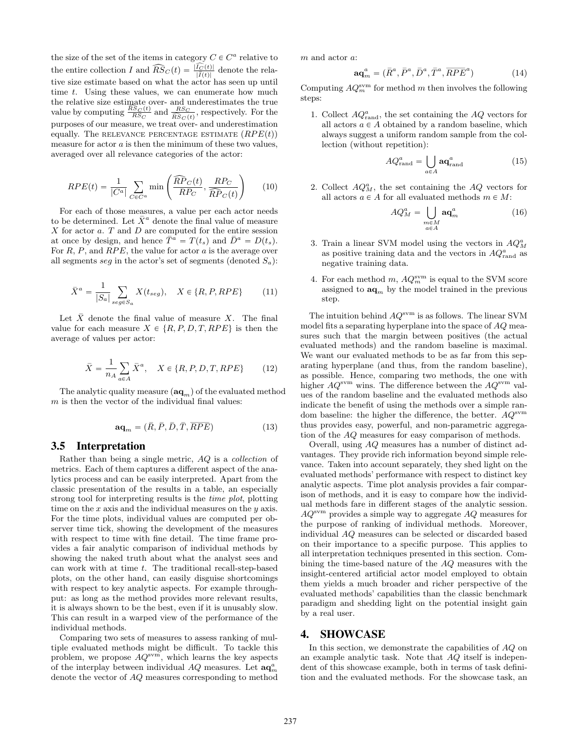the size of the set of the items in category  $C \in C^a$  relative to the entire collection I and  $\widehat{RS}_C(t) = \frac{|\widehat{I}_C(t)|}{|\widehat{I}(t)|}$  denote the relative size estimate based on what the actor has seen up until time t. Using these values, we can enumerate how much the relative size estimate over- and underestimates the true value by computing  $\frac{\overline{RS}_C(t)}{\overline{RS}_C(t)}$  and  $\frac{\overline{RS}_C}{\overline{RS}_C(t)}$ , respectively. For the purposes of our measure, we treat over- and underestimation equally. The RELEVANCE PERCENTAGE ESTIMATE  $(RPE(t))$ measure for actor a is then the minimum of these two values, averaged over all relevance categories of the actor:

$$
RPE(t) = \frac{1}{|C^a|} \sum_{C \in C^a} \min\left(\frac{\widehat{R}\widehat{P}_C(t)}{R P_C}, \frac{R P_C}{\widehat{R}\widehat{P}_C(t)}\right) \qquad (10)
$$

For each of those measures, a value per each actor needs to be determined. Let  $\bar{X}^a$  denote the final value of measure  $X$  for actor  $a$ .  $T$  and  $D$  are computed for the entire session at once by design, and hence  $\overline{T}^a = T(t_s)$  and  $\overline{D}^a = D(t_s)$ . For  $R$ ,  $P$ , and  $RPE$ , the value for actor  $a$  is the average over all segments seg in the actor's set of segments (denoted  $S_a$ ):

$$
\bar{X}^a = \frac{1}{|S_a|} \sum_{seg \in S_a} X(t_{seg}), \quad X \in \{R, P, RPE\}
$$
 (11)

Let  $\bar{X}$  denote the final value of measure X. The final value for each measure  $X \in \{R, P, D, T, RPE\}$  is then the average of values per actor:

$$
\bar{X} = \frac{1}{n_A} \sum_{a \in A} \bar{X}^a, \quad X \in \{R, P, D, T, RPE\}
$$
 (12)

The analytic quality measure  $(aq_m)$  of the evaluated method  $m$  is then the vector of the individual final values:

$$
\mathbf{aq}_m = (\bar{R}, \bar{P}, \bar{D}, \bar{T}, \overline{RPE}) \tag{13}
$$

#### 3.5 Interpretation

Rather than being a single metric, AQ is a collection of metrics. Each of them captures a different aspect of the analytics process and can be easily interpreted. Apart from the classic presentation of the results in a table, an especially strong tool for interpreting results is the time plot, plotting time on the  $x$  axis and the individual measures on the  $y$  axis. For the time plots, individual values are computed per observer time tick, showing the development of the measures with respect to time with fine detail. The time frame provides a fair analytic comparison of individual methods by showing the naked truth about what the analyst sees and can work with at time t. The traditional recall-step-based plots, on the other hand, can easily disguise shortcomings with respect to key analytic aspects. For example throughput: as long as the method provides more relevant results, it is always shown to be the best, even if it is unusably slow. This can result in a warped view of the performance of the individual methods.

Comparing two sets of measures to assess ranking of multiple evaluated methods might be difficult. To tackle this problem, we propose  $AQ^{\text{sym}}$ , which learns the key aspects of the interplay between individual  $AQ$  measures. Let  $\mathbf{aq}_m^a$ denote the vector of AQ measures corresponding to method m and actor a:

$$
\mathbf{aq}_m^a = (\bar{R}^a, \bar{P}^a, \bar{D}^a, \bar{T}^a, \overline{RPE}^a)
$$
 (14)

Computing  $AQ_m^{\text{sym}}$  for method m then involves the following steps:

1. Collect  $AQ^a_{\text{rand}}$ , the set containing the  $AQ$  vectors for all actors  $a \in A$  obtained by a random baseline, which always suggest a uniform random sample from the collection (without repetition):

$$
AQ_{\text{rand}}^{a} = \bigcup_{a \in A} \mathbf{aq}_{\text{rand}}^{a}
$$
 (15)

2. Collect  $AQ_M^a$ , the set containing the  $AQ$  vectors for all actors  $a \in A$  for all evaluated methods  $m \in M$ :

 $\overline{\mathcal{A}}$ 

$$
IQ_M^a = \bigcup_{\substack{m \in M \\ a \in A}} \mathbf{aq}_m^a \tag{16}
$$

- 3. Train a linear SVM model using the vectors in  $AQ_M^a$ as positive training data and the vectors in  $AQ^a_{\text{rand}}$  as negative training data.
- 4. For each method  $m$ ,  $AQ_m^{\text{sym}}$  is equal to the SVM score assigned to  $aq_m$  by the model trained in the previous step.

The intuition behind  $AQ^{\text{sym}}$  is as follows. The linear SVM model fits a separating hyperplane into the space of AQ measures such that the margin between positives (the actual evaluated methods) and the random baseline is maximal. We want our evaluated methods to be as far from this separating hyperplane (and thus, from the random baseline), as possible. Hence, comparing two methods, the one with higher  $AQ^{\text{sym}}$  wins. The difference between the  $AQ^{\text{sym}}$  values of the random baseline and the evaluated methods also indicate the benefit of using the methods over a simple random baseline: the higher the difference, the better.  $AQ^{\rm{sym}}$ thus provides easy, powerful, and non-parametric aggregation of the AQ measures for easy comparison of methods.

Overall, using AQ measures has a number of distinct advantages. They provide rich information beyond simple relevance. Taken into account separately, they shed light on the evaluated methods' performance with respect to distinct key analytic aspects. Time plot analysis provides a fair comparison of methods, and it is easy to compare how the individual methods fare in different stages of the analytic session.  $AQ^{\text{sym}}$  provides a simple way to aggregate  $AQ$  measures for the purpose of ranking of individual methods. Moreover, individual AQ measures can be selected or discarded based on their importance to a specific purpose. This applies to all interpretation techniques presented in this section. Combining the time-based nature of the AQ measures with the insight-centered artificial actor model employed to obtain them yields a much broader and richer perspective of the evaluated methods' capabilities than the classic benchmark paradigm and shedding light on the potential insight gain by a real user.

#### 4. SHOWCASE

In this section, we demonstrate the capabilities of  $AQ$  on an example analytic task. Note that  $AQ$  itself is independent of this showcase example, both in terms of task definition and the evaluated methods. For the showcase task, an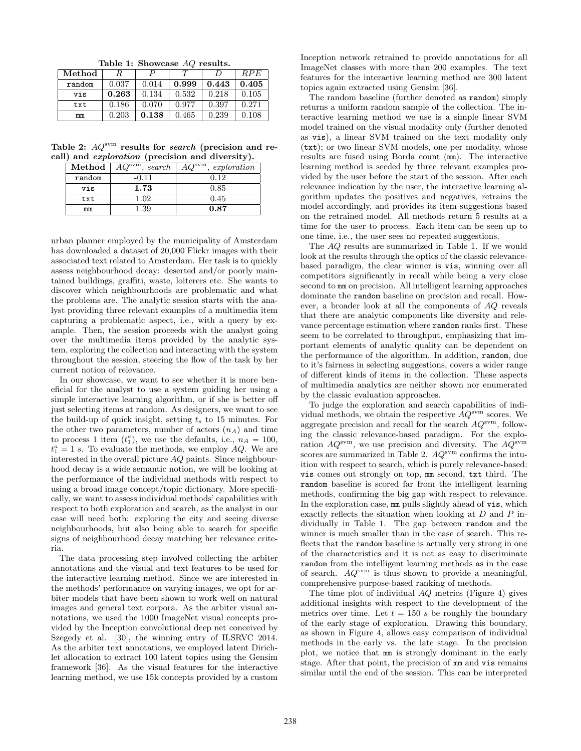Table 1: Showcase AQ results.

| Method |       |       |       |       | <i>RPE</i> |
|--------|-------|-------|-------|-------|------------|
| random | 0.037 | 0.014 | 0.999 | 0.443 | 0.405      |
| vis    | 0.263 | 0.134 | 0.532 | 0.218 | 0.105      |
| txt    | 0.186 | 0.070 | 0.977 | 0.397 | 0.271      |
| mm     | 0.203 | 0.138 | 0.465 | 0.239 | 0.108      |

Table 2:  $AQ^{sym}$  results for *search* (precision and recall) and exploration (precision and diversity).

| $\operatorname{Method}$ | svm<br>, search | <b>SVM</b><br>exploration |
|-------------------------|-----------------|---------------------------|
| random                  | $-0.11$         | 0.12                      |
| vis                     | 1.73            | 0.85                      |
| txt                     | 1.02            | 0.45                      |
| mm                      | $1.39\,$        | 0.87                      |

urban planner employed by the municipality of Amsterdam has downloaded a dataset of 20,000 Flickr images with their associated text related to Amsterdam. Her task is to quickly assess neighbourhood decay: deserted and/or poorly maintained buildings, graffiti, waste, loiterers etc. She wants to discover which neighbourhoods are problematic and what the problems are. The analytic session starts with the analyst providing three relevant examples of a multimedia item capturing a problematic aspect, i.e., with a query by example. Then, the session proceeds with the analyst going over the multimedia items provided by the analytic system, exploring the collection and interacting with the system throughout the session, steering the flow of the task by her current notion of relevance.

In our showcase, we want to see whether it is more beneficial for the analyst to use a system guiding her using a simple interactive learning algorithm, or if she is better off just selecting items at random. As designers, we want to see the build-up of quick insight, setting  $t_s$  to 15 minutes. For the other two parameters, number of actors  $(n_A)$  and time to process 1 item  $(t_1^a)$ , we use the defaults, i.e.,  $n_A = 100$ ,  $t_1^a = 1$  s. To evaluate the methods, we employ AQ. We are interested in the overall picture  $AQ$  paints. Since neighbourhood decay is a wide semantic notion, we will be looking at the performance of the individual methods with respect to using a broad image concept/topic dictionary. More specifically, we want to assess individual methods' capabilities with respect to both exploration and search, as the analyst in our case will need both: exploring the city and seeing diverse neighbourhoods, but also being able to search for specific signs of neighbourhood decay matching her relevance criteria.

The data processing step involved collecting the arbiter annotations and the visual and text features to be used for the interactive learning method. Since we are interested in the methods' performance on varying images, we opt for arbiter models that have been shown to work well on natural images and general text corpora. As the arbiter visual annotations, we used the 1000 ImageNet visual concepts provided by the Inception convolutional deep net conceived by Szegedy et al. [30], the winning entry of ILSRVC 2014. As the arbiter text annotations, we employed latent Dirichlet allocation to extract 100 latent topics using the Gensim framework [36]. As the visual features for the interactive learning method, we use 15k concepts provided by a custom Inception network retrained to provide annotations for all ImageNet classes with more than 200 examples. The text features for the interactive learning method are 300 latent topics again extracted using Gensim [36].

The random baseline (further denoted as random) simply returns a uniform random sample of the collection. The interactive learning method we use is a simple linear SVM model trained on the visual modality only (further denoted as vis), a linear SVM trained on the text modality only (txt); or two linear SVM models, one per modality, whose results are fused using Borda count (mm). The interactive learning method is seeded by three relevant examples provided by the user before the start of the session. After each relevance indication by the user, the interactive learning algorithm updates the positives and negatives, retrains the model accordingly, and provides its item suggestions based on the retrained model. All methods return 5 results at a time for the user to process. Each item can be seen up to one time, i.e., the user sees no repeated suggestions.

The AQ results are summarized in Table 1. If we would look at the results through the optics of the classic relevancebased paradigm, the clear winner is vis, winning over all competitors significantly in recall while being a very close second to mm on precision. All intelligent learning approaches dominate the random baseline on precision and recall. However, a broader look at all the components of AQ reveals that there are analytic components like diversity and relevance percentage estimation where random ranks first. These seem to be correlated to throughput, emphasizing that important elements of analytic quality can be dependent on the performance of the algorithm. In addition, random, due to it's fairness in selecting suggestions, covers a wider range of different kinds of items in the collection. These aspects of multimedia analytics are neither shown nor enumerated by the classic evaluation approaches.

To judge the exploration and search capabilities of individual methods, we obtain the respective  $AQ^{\text{sym}}$  scores. We aggregate precision and recall for the search  $AQ^{\text{sym}}$ , following the classic relevance-based paradigm. For the exploration  $AQ^{\text{sym}}$ , we use precision and diversity. The  $AQ^{\text{sym}}$ scores are summarized in Table 2.  $AQ^{sym}$  confirms the intuition with respect to search, which is purely relevance-based: vis comes out strongly on top, mm second, txt third. The random baseline is scored far from the intelligent learning methods, confirming the big gap with respect to relevance. In the exploration case, mm pulls slightly ahead of vis, which exactly reflects the situation when looking at  $D$  and  $P$  individually in Table 1. The gap between random and the winner is much smaller than in the case of search. This reflects that the random baseline is actually very strong in one of the characteristics and it is not as easy to discriminate random from the intelligent learning methods as in the case of search.  $AQ^{\text{sym}}$  is thus shown to provide a meaningful, comprehensive purpose-based ranking of methods.

The time plot of individual AQ metrics (Figure 4) gives additional insights with respect to the development of the metrics over time. Let  $t = 150$  s be roughly the boundary of the early stage of exploration. Drawing this boundary, as shown in Figure 4, allows easy comparison of individual methods in the early vs. the late stage. In the precision plot, we notice that mm is strongly dominant in the early stage. After that point, the precision of mm and vis remains similar until the end of the session. This can be interpreted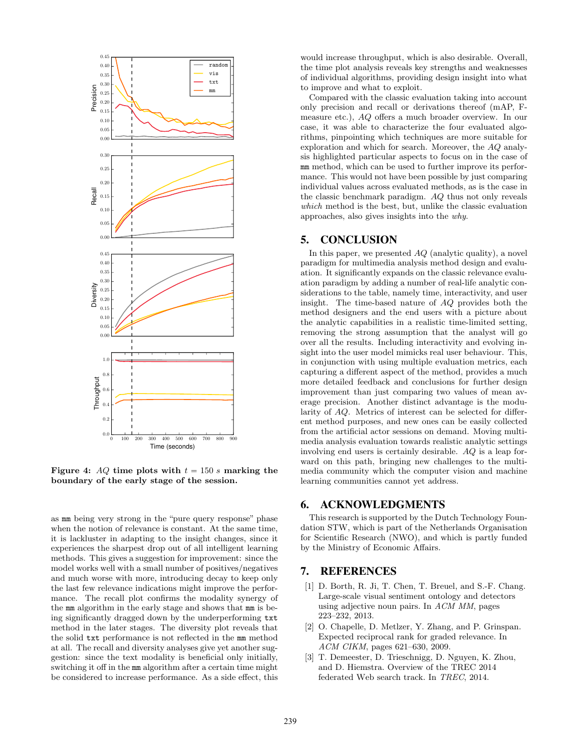

Figure 4: AQ time plots with  $t = 150 s$  marking the boundary of the early stage of the session.

as mm being very strong in the "pure query response" phase when the notion of relevance is constant. At the same time, it is lackluster in adapting to the insight changes, since it experiences the sharpest drop out of all intelligent learning methods. This gives a suggestion for improvement: since the model works well with a small number of positives/negatives and much worse with more, introducing decay to keep only the last few relevance indications might improve the performance. The recall plot confirms the modality synergy of the mm algorithm in the early stage and shows that mm is being significantly dragged down by the underperforming txt method in the later stages. The diversity plot reveals that the solid txt performance is not reflected in the mm method at all. The recall and diversity analyses give yet another suggestion: since the text modality is beneficial only initially, switching it off in the mm algorithm after a certain time might be considered to increase performance. As a side effect, this would increase throughput, which is also desirable. Overall, the time plot analysis reveals key strengths and weaknesses of individual algorithms, providing design insight into what to improve and what to exploit.

Compared with the classic evaluation taking into account only precision and recall or derivations thereof (mAP, Fmeasure etc.), AQ offers a much broader overview. In our case, it was able to characterize the four evaluated algorithms, pinpointing which techniques are more suitable for exploration and which for search. Moreover, the AQ analysis highlighted particular aspects to focus on in the case of mm method, which can be used to further improve its performance. This would not have been possible by just comparing individual values across evaluated methods, as is the case in the classic benchmark paradigm. AQ thus not only reveals which method is the best, but, unlike the classic evaluation approaches, also gives insights into the why.

# 5. CONCLUSION

In this paper, we presented  $AQ$  (analytic quality), a novel paradigm for multimedia analysis method design and evaluation. It significantly expands on the classic relevance evaluation paradigm by adding a number of real-life analytic considerations to the table, namely time, interactivity, and user insight. The time-based nature of AQ provides both the method designers and the end users with a picture about the analytic capabilities in a realistic time-limited setting, removing the strong assumption that the analyst will go over all the results. Including interactivity and evolving insight into the user model mimicks real user behaviour. This, in conjunction with using multiple evaluation metrics, each capturing a different aspect of the method, provides a much more detailed feedback and conclusions for further design improvement than just comparing two values of mean average precision. Another distinct advantage is the modularity of AQ. Metrics of interest can be selected for different method purposes, and new ones can be easily collected from the artificial actor sessions on demand. Moving multimedia analysis evaluation towards realistic analytic settings involving end users is certainly desirable. AQ is a leap forward on this path, bringing new challenges to the multimedia community which the computer vision and machine learning communities cannot yet address.

#### 6. ACKNOWLEDGMENTS

This research is supported by the Dutch Technology Foundation STW, which is part of the Netherlands Organisation for Scientific Research (NWO), and which is partly funded by the Ministry of Economic Affairs.

# 7. REFERENCES

- [1] D. Borth, R. Ji, T. Chen, T. Breuel, and S.-F. Chang. Large-scale visual sentiment ontology and detectors using adjective noun pairs. In ACM MM, pages 223–232, 2013.
- [2] O. Chapelle, D. Metlzer, Y. Zhang, and P. Grinspan. Expected reciprocal rank for graded relevance. In ACM CIKM, pages 621–630, 2009.
- [3] T. Demeester, D. Trieschnigg, D. Nguyen, K. Zhou, and D. Hiemstra. Overview of the TREC 2014 federated Web search track. In TREC, 2014.